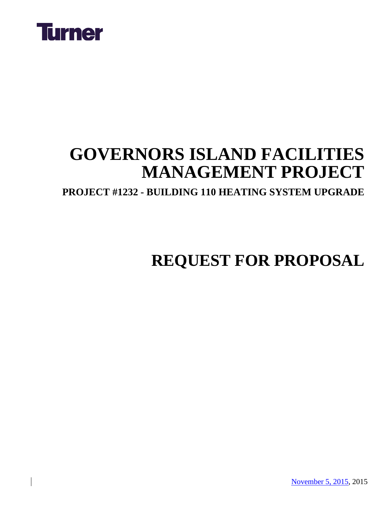

### **GOVERNORS ISLAND FACILITIES MANAGEMENT PROJECT**

**PROJECT #1232 - BUILDING 110 HEATING SYSTEM UPGRADE**

### **REQUEST FOR PROPOSAL**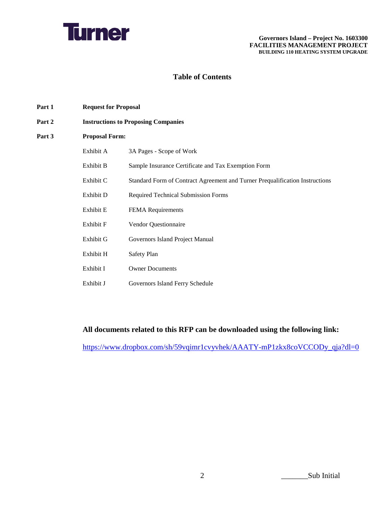

#### **Table of Contents**

- **Part 1 Request for Proposal**
- **Part 2 Instructions to Proposing Companies**
- **Part 3 Proposal Form:**

| Exhibit A | 3A Pages - Scope of Work                                                     |
|-----------|------------------------------------------------------------------------------|
| Exhibit B | Sample Insurance Certificate and Tax Exemption Form                          |
| Exhibit C | Standard Form of Contract Agreement and Turner Prequalification Instructions |
| Exhibit D | <b>Required Technical Submission Forms</b>                                   |
| Exhibit E | <b>FEMA</b> Requirements                                                     |
| Exhibit F | <b>Vendor Questionnaire</b>                                                  |
| Exhibit G | Governors Island Project Manual                                              |
| Exhibit H | Safety Plan                                                                  |
| Exhibit I | <b>Owner Documents</b>                                                       |
| Exhibit J | Governors Island Ferry Schedule                                              |

#### **All documents related to this RFP can be downloaded using the following link:**

[https://www.dropbox.com/sh/59vqimr1cvyvhek/AAATY-mP1zkx8coVCCODy\\_qja?dl=0](https://www.dropbox.com/sh/59vqimr1cvyvhek/AAATY-mP1zkx8coVCCODy_qja?dl=0)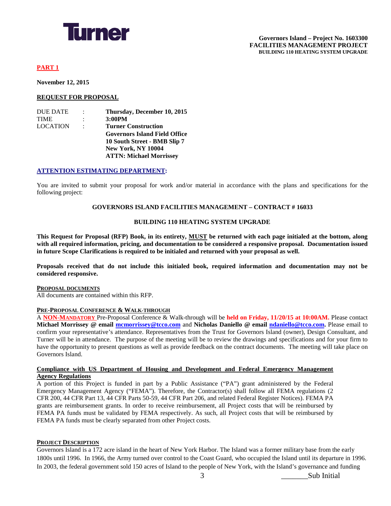

#### **PART 1**

**November 12, 2015**

#### **REQUEST FOR PROPOSAL**

| <b>DUE DATE</b> | $\ddot{\phantom{a}}$ | Thursday, December 10, 2015          |
|-----------------|----------------------|--------------------------------------|
| <b>TIME</b>     | $\ddot{\phantom{a}}$ | 3:00PM                               |
| <b>LOCATION</b> | $\ddot{\phantom{0}}$ | <b>Turner Construction</b>           |
|                 |                      | <b>Governors Island Field Office</b> |
|                 |                      | 10 South Street - BMB Slip 7         |
|                 |                      | <b>New York, NY 10004</b>            |
|                 |                      | <b>ATTN: Michael Morrissey</b>       |

#### **ATTENTION ESTIMATING DEPARTMENT:**

You are invited to submit your proposal for work and/or material in accordance with the plans and specifications for the following project:

#### **GOVERNORS ISLAND FACILITIES MANAGEMENT – CONTRACT # 16033**

#### **BUILDING 110 HEATING SYSTEM UPGRADE**

**This Request for Proposal (RFP) Book, in its entirety, MUST be returned with each page initialed at the bottom, along with all required information, pricing, and documentation to be considered a responsive proposal. Documentation issued in future Scope Clarifications is required to be initialed and returned with your proposal as well.** 

**Proposals received that do not include this initialed book, required information and documentation may not be considered responsive.**

#### **PROPOSAL DOCUMENTS**

All documents are contained within this RFP.

#### **PRE-PROPOSAL CONFERENCE & WALK-THROUGH**

A **NON-MANDATORY** Pre-Proposal Conference & Walk-through will be **held on Friday, 11/20/15 at 10:00AM.** Please contact **Michael Morrissey @ email [mcmorrissey@tcco.com](mailto:mcmorrissey@tcco.com)** and **Nicholas Daniello @ email [ndaniello@tcco.com.](mailto:ndaniello@tcco.com)** Please email to confirm your representative's attendance. Representatives from the Trust for Governors Island (owner), Design Consultant, and Turner will be in attendance. The purpose of the meeting will be to review the drawings and specifications and for your firm to have the opportunity to present questions as well as provide feedback on the contract documents. The meeting will take place on Governors Island.

#### **Compliance with US Department of Housing and Development and Federal Emergency Management Agency Regulations**

A portion of this Project is funded in part by a Public Assistance ("PA") grant administered by the Federal Emergency Management Agency ("FEMA"). Therefore, the Contractor(s) shall follow all FEMA regulations (2 CFR 200, 44 CFR Part 13, 44 CFR Parts 50-59, 44 CFR Part 206, and related Federal Register Notices). FEMA PA grants are reimbursement grants. In order to receive reimbursement, all Project costs that will be reimbursed by FEMA PA funds must be validated by FEMA respectively. As such, all Project costs that will be reimbursed by FEMA PA funds must be clearly separated from other Project costs.

#### **PROJECT DESCRIPTION**

Governors Island is a 172 acre island in the heart of New York Harbor. The Island was a former military base from the early 1800s until 1996. In 1966, the Army turned over control to the Coast Guard, who occupied the Island until its departure in 1996. In 2003, the federal government sold 150 acres of Island to the people of New York, with the Island's governance and funding

3  $\qquad \qquad \text{Sub Initial}$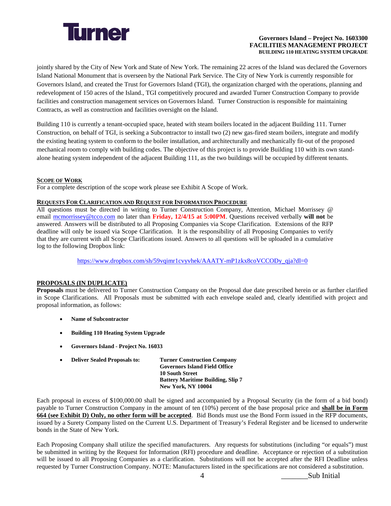

jointly shared by the City of New York and State of New York. The remaining 22 acres of the Island was declared the Governors Island National Monument that is overseen by the National Park Service. The City of New York is currently responsible for Governors Island, and created the Trust for Governors Island (TGI), the organization charged with the operations, planning and redevelopment of 150 acres of the Island., TGI competitively procured and awarded Turner Construction Company to provide facilities and construction management services on Governors Island. Turner Construction is responsible for maintaining Contracts, as well as construction and facilities oversight on the Island.

Building 110 is currently a tenant-occupied space, heated with steam boilers located in the adjacent Building 111. Turner Construction, on behalf of TGI, is seeking a Subcontractor to install two (2) new gas-fired steam boilers, integrate and modify the existing heating system to conform to the boiler installation, and architecturally and mechanically fit-out of the proposed mechanical room to comply with building codes. The objective of this project is to provide Building 110 with its own standalone heating system independent of the adjacent Building 111, as the two buildings will be occupied by different tenants.

#### **SCOPE OF WORK**

For a complete description of the scope work please see Exhibit A Scope of Work.

#### **REQUESTS FOR CLARIFICATION AND REQUEST FOR INFORMATION PROCEDURE**

All questions must be directed in writing to Turner Construction Company, Attention, Michael Morrissey @ email [mcmorrissey@tcco.com](mailto:mcmorrissey@tcco.com) no later than **Friday, 12/4/15 at 5:00PM**. Questions received verbally **will not** be answered. Answers will be distributed to all Proposing Companies via Scope Clarification. Extensions of the RFP deadline will only be issued via Scope Clarification. It is the responsibility of all Proposing Companies to verify that they are current with all Scope Clarifications issued. Answers to all questions will be uploaded in a cumulative log to the following Dropbox link:

[https://www.dropbox.com/sh/59vqimr1cvyvhek/AAATY-mP1zkx8coVCCODy\\_qja?dl=0](https://www.dropbox.com/sh/59vqimr1cvyvhek/AAATY-mP1zkx8coVCCODy_qja?dl=0)

#### **PROPOSALS (IN DUPLICATE)**

**Proposals** must be delivered to Turner Construction Company on the Proposal due date prescribed herein or as further clarified in Scope Clarifications. All Proposals must be submitted with each envelope sealed and, clearly identified with project and proposal information, as follows:

- **Name of Subcontractor**
- **Building 110 Heating System Upgrade**
- **Governors Island - Project No. 16033**
- **Deliver Sealed Proposals to: Turner Construction Company Governors Island Field Office 10 South Street Battery Maritime Building, Slip 7 New York, NY 10004**

Each proposal in excess of \$100,000.00 shall be signed and accompanied by a Proposal Security (in the form of a bid bond) payable to Turner Construction Company in the amount of ten (10%) percent of the base proposal price and **shall be in Form 664 (see Exhibit D) Only, no other form will be accepted**. Bid Bonds must use the Bond Form issued in the RFP documents, issued by a Surety Company listed on the Current U.S. Department of Treasury's Federal Register and be licensed to underwrite bonds in the State of New York.

Each Proposing Company shall utilize the specified manufacturers. Any requests for substitutions (including "or equals") must be submitted in writing by the Request for Information (RFI) procedure and deadline. Acceptance or rejection of a substitution will be issued to all Proposing Companies as a clarification. Substitutions will not be accepted after the RFI Deadline unless requested by Turner Construction Company. NOTE: Manufacturers listed in the specifications are not considered a substitution.

4  $\delta$  Sub Initial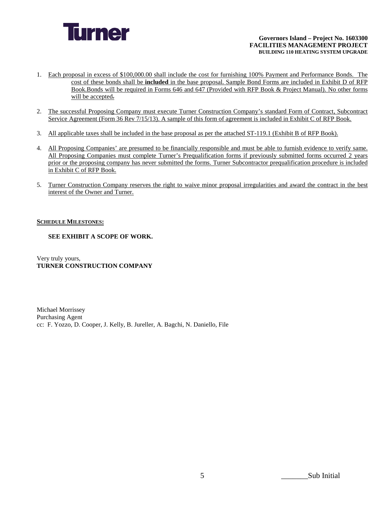

- 1. Each proposal in excess of \$100,000.00 shall include the cost for furnishing 100% Payment and Performance Bonds. The cost of these bonds shall be **included** in the base proposal. Sample Bond Forms are included in Exhibit D of RFP Book.Bonds will be required in Forms 646 and 647 (Provided with RFP Book & Project Manual). No other forms will be accepted.
- 2. The successful Proposing Company must execute Turner Construction Company's standard Form of Contract, Subcontract Service Agreement (Form 36 Rev 7/15/13). A sample of this form of agreement is included in Exhibit C of RFP Book.
- 3. All applicable taxes shall be included in the base proposal as per the attached ST-119.1 (Exhibit B of RFP Book).
- 4. All Proposing Companies' are presumed to be financially responsible and must be able to furnish evidence to verify same. All Proposing Companies must complete Turner's Prequalification forms if previously submitted forms occurred 2 years prior or the proposing company has never submitted the forms. Turner Subcontractor prequalification procedure is included in Exhibit C of RFP Book.
- 5. Turner Construction Company reserves the right to waive minor proposal irregularities and award the contract in the best interest of the Owner and Turner.

#### **SCHEDULE MILESTONES:**

#### **SEE EXHIBIT A SCOPE OF WORK.**

Very truly yours, **TURNER CONSTRUCTION COMPANY**

Michael Morrissey Purchasing Agent cc: F. Yozzo, D. Cooper, J. Kelly, B. Jureller, A. Bagchi, N. Daniello, File

5  $5$  Sub Initial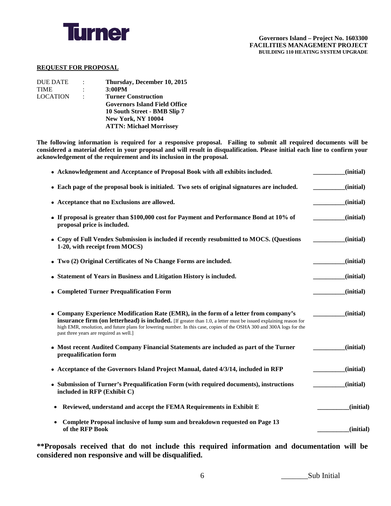

#### **REQUEST FOR PROPOSAL**

| <b>DUE DATE</b> | $\mathbb{R}^n$ | Thursday, December 10, 2015          |
|-----------------|----------------|--------------------------------------|
| <b>TIME</b>     |                | 3:00PM                               |
| <b>LOCATION</b> | $\ddot{\cdot}$ | <b>Turner Construction</b>           |
|                 |                | <b>Governors Island Field Office</b> |
|                 |                | 10 South Street - BMB Slip 7         |
|                 |                | <b>New York, NY 10004</b>            |
|                 |                | <b>ATTN: Michael Morrissey</b>       |
|                 |                |                                      |

**The following information is required for a responsive proposal. Failing to submit all required documents will be considered a material defect in your proposal and will result in disqualification. Please initial each line to confirm your acknowledgement of the requirement and its inclusion in the proposal.** 

| • Acknowledgement and Acceptance of Proposal Book with all exhibits included.                                                                                                                                                                                                                                                                                                       | (initial) |
|-------------------------------------------------------------------------------------------------------------------------------------------------------------------------------------------------------------------------------------------------------------------------------------------------------------------------------------------------------------------------------------|-----------|
| • Each page of the proposal book is initialed. Two sets of original signatures are included.                                                                                                                                                                                                                                                                                        | (initial) |
| • Acceptance that no Exclusions are allowed.                                                                                                                                                                                                                                                                                                                                        | (initial) |
| • If proposal is greater than \$100,000 cost for Payment and Performance Bond at 10% of<br>proposal price is included.                                                                                                                                                                                                                                                              | (initial) |
| • Copy of Full Vendex Submission is included if recently resubmitted to MOCS. (Questions<br>1-20, with receipt from MOCS)                                                                                                                                                                                                                                                           | (initial) |
| • Two (2) Original Certificates of No Change Forms are included.                                                                                                                                                                                                                                                                                                                    | (initial) |
| • Statement of Years in Business and Litigation History is included.                                                                                                                                                                                                                                                                                                                | (initial) |
| • Completed Turner Prequalification Form                                                                                                                                                                                                                                                                                                                                            | (initial) |
| • Company Experience Modification Rate (EMR), in the form of a letter from company's<br><b>insurance firm (on letterhead) is included.</b> [If greater than 1.0, a letter must be issued explaining reason for<br>high EMR, resolution, and future plans for lowering number. In this case, copies of the OSHA 300 and 300A logs for the<br>past three years are required as well.] | (initial) |
| • Most recent Audited Company Financial Statements are included as part of the Turner<br>prequalification form                                                                                                                                                                                                                                                                      | (initial) |
| • Acceptance of the Governors Island Project Manual, dated 4/3/14, included in RFP                                                                                                                                                                                                                                                                                                  | (initial) |
| • Submission of Turner's Prequalification Form (with required documents), instructions<br>included in RFP (Exhibit C)                                                                                                                                                                                                                                                               | (initial) |
| Reviewed, understand and accept the FEMA Requirements in Exhibit E<br>$\bullet$                                                                                                                                                                                                                                                                                                     | (initial) |
| Complete Proposal inclusive of lump sum and breakdown requested on Page 13<br>$\bullet$<br>of the RFP Book                                                                                                                                                                                                                                                                          | (initial) |

**\*\*Proposals received that do not include this required information and documentation will be considered non responsive and will be disqualified.**

6  $\delta$  Sub Initial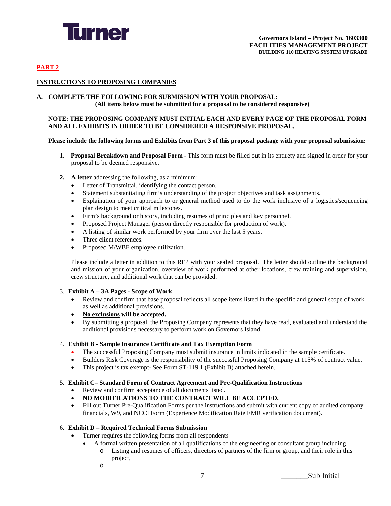

#### **PART 2**

#### **INSTRUCTIONS TO PROPOSING COMPANIES**

#### **A. COMPLETE THE FOLLOWING FOR SUBMISSION WITH YOUR PROPOSAL:**

**(All items below must be submitted for a proposal to be considered responsive)**

#### **NOTE: THE PROPOSING COMPANY MUST INITIAL EACH AND EVERY PAGE OF THE PROPOSAL FORM AND ALL EXHIBITS IN ORDER TO BE CONSIDERED A RESPONSIVE PROPOSAL.**

#### **Please include the following forms and Exhibits from Part 3 of this proposal package with your proposal submission:**

- 1. **Proposal Breakdown and Proposal Form** This form must be filled out in its entirety and signed in order for your proposal to be deemed responsive.
- **2. A letter** addressing the following, as a minimum:
	- Letter of Transmittal, identifying the contact person.
	- Statement substantiating firm's understanding of the project objectives and task assignments.
	- Explaination of your approach to or general method used to do the work inclusive of a logistics/sequencing plan design to meet critical milestones.
	- Firm's background or history, including resumes of principles and key personnel.
	- Proposed Project Manager (person directly responsible for production of work).
	- A listing of similar work performed by your firm over the last 5 years.
	- Three client references.
	- Proposed M/WBE employee utilization.

Please include a letter in addition to this RFP with your sealed proposal. The letter should outline the background and mission of your organization, overview of work performed at other locations, crew training and supervision, crew structure, and additional work that can be provided.

#### 3. **Exhibit A – 3A Pages - Scope of Work**

- Review and confirm that base proposal reflects all scope items listed in the specific and general scope of work as well as additional provisions.
- **No exclusions will be accepted.**
- By submitting a proposal, the Proposing Company represents that they have read, evaluated and understand the additional provisions necessary to perform work on Governors Island.

#### 4. **Exhibit B - Sample Insurance Certificate and Tax Exemption Form**

- The successful Proposing Company must submit insurance in limits indicated in the sample certificate.
- Builders Risk Coverage is the responsibility of the successful Proposing Company at 115% of contract value.
- This project is tax exempt- See Form ST-119.1 (Exhibit B) attached herein.

#### 5. **Exhibit C– Standard Form of Contract Agreement and Pre-Qualification Instructions**

- Review and confirm acceptance of all documents listed.
- **NO MODIFICATIONS TO THE CONTRACT WILL BE ACCEPTED.**
- Fill out Turner Pre-Qualification Forms per the instructions and submit with current copy of audited company financials, W9, and NCCI Form (Experience Modification Rate EMR verification document).

#### 6. **Exhibit D – Required Technical Forms Submission**

- Turner requires the following forms from all respondents
	- A formal written presentation of all qualifications of the engineering or consultant group including
		- o Listing and resumes of officers, directors of partners of the firm or group, and their role in this project,
		- o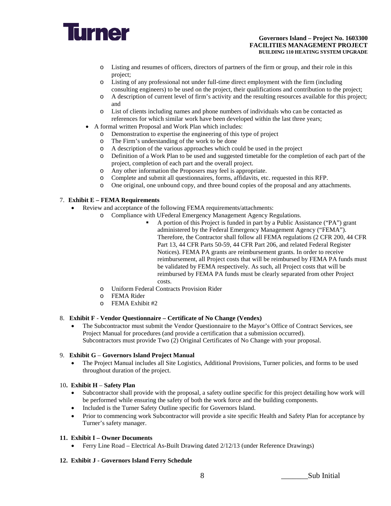

- o Listing and resumes of officers, directors of partners of the firm or group, and their role in this project;
- o Listing of any professional not under full-time direct employment with the firm (including consulting engineers) to be used on the project, their qualifications and contribution to the project;
- o A description of current level of firm's activity and the resulting resources available for this project; and
- o List of clients including names and phone numbers of individuals who can be contacted as references for which similar work have been developed within the last three years;
- A formal written Proposal and Work Plan which includes:
	- $\circ$  Demonstration to expertise the engineering of this type of project  $\circ$  The Firm's understanding of the work to be done
	- The Firm's understanding of the work to be done
	- o A description of the various approaches which could be used in the project
	- o Definition of a Work Plan to be used and suggested timetable for the completion of each part of the project, completion of each part and the overall project.
		-
	- o Any other information the Proposers may feel is appropriate.<br>
	Complete and submit all questionnaires, forms, affidavits, etc. o Complete and submit all questionnaires, forms, affidavits, etc. requested in this RFP.
	- One original, one unbound copy, and three bound copies of the proposal and any attachments.

#### 7. **Exhibit E – FEMA Requirements**

- Review and acceptance of the following FEMA requirements/attachments:
	- o Compliance with UFederal Emergency Management Agency Regulations.
		- A portion of this Project is funded in part by a Public Assistance ("PA") grant administered by the Federal Emergency Management Agency ("FEMA"). Therefore, the Contractor shall follow all FEMA regulations (2 CFR 200, 44 CFR Part 13, 44 CFR Parts 50-59, 44 CFR Part 206, and related Federal Register Notices). FEMA PA grants are reimbursement grants. In order to receive reimbursement, all Project costs that will be reimbursed by FEMA PA funds must be validated by FEMA respectively. As such, all Project costs that will be reimbursed by FEMA PA funds must be clearly separated from other Project costs.
	- o Uniform Federal Contracts Provision Rider
	- o FEMA Rider
	- o FEMA Exhibit #2

#### 8. **Exhibit F** - **Vendor Questionnaire – Certificate of No Change (Vendex)**

• The Subcontractor must submit the Vendor Questionnaire to the Mayor's Office of Contract Services, see Project Manual for procedures (and provide a certification that a submission occurred). Subcontractors must provide Two (2) Original Certificates of No Change with your proposal.

#### 9. **Exhibit G** – **Governors Island Project Manual**

• The Project Manual includes all Site Logistics, Additional Provisions, Turner policies, and forms to be used throughout duration of the project.

#### 10**. Exhibit H** – **Safety Plan**

- Subcontractor shall provide with the proposal, a safety outline specific for this project detailing how work will be performed while ensuring the safety of both the work force and the building components.
- Included is the Turner Safety Outline specific for Governors Island.
- Prior to commencing work Subcontractor will provide a site specific Health and Safety Plan for acceptance by Turner's safety manager.

#### **11. Exhibit I – Owner Documents**

• Ferry Line Road – Electrical As-Built Drawing dated 2/12/13 (under Reference Drawings)

#### **12. Exhibit J - Governors Island Ferry Schedule**

8  $\delta$  Sub Initial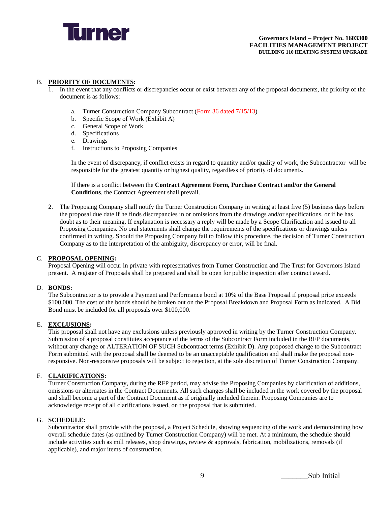

#### B. **PRIORITY OF DOCUMENTS:**

- In the event that any conflicts or discrepancies occur or exist between any of the proposal documents, the priority of the document is as follows:
	- a. Turner Construction Company Subcontract (Form 36 dated 7/15/13)
	- b. Specific Scope of Work (Exhibit A)
	- c. General Scope of Work
	- d. Specifications
	- e. Drawings
	- Instructions to Proposing Companies

In the event of discrepancy, if conflict exists in regard to quantity and/or quality of work, the Subcontractor will be responsible for the greatest quantity or highest quality, regardless of priority of documents.

If there is a conflict between the **Contract Agreement Form, Purchase Contract and/or the General Conditions**, the Contract Agreement shall prevail.

2. The Proposing Company shall notify the Turner Construction Company in writing at least five (5) business days before the proposal due date if he finds discrepancies in or omissions from the drawings and/or specifications, or if he has doubt as to their meaning. If explanation is necessary a reply will be made by a Scope Clarification and issued to all Proposing Companies. No oral statements shall change the requirements of the specifications or drawings unless confirmed in writing. Should the Proposing Company fail to follow this procedure, the decision of Turner Construction Company as to the interpretation of the ambiguity, discrepancy or error, will be final.

#### C. **PROPOSAL OPENING:**

Proposal Opening will occur in private with representatives from Turner Construction and The Trust for Governors Island present. A register of Proposals shall be prepared and shall be open for public inspection after contract award.

#### D. **BONDS:**

The Subcontractor is to provide a Payment and Performance bond at 10% of the Base Proposal if proposal price exceeds \$100,000. The cost of the bonds should be broken out on the Proposal Breakdown and Proposal Form as indicated. A Bid Bond must be included for all proposals over \$100,000.

#### E. **EXCLUSIONS:**

This proposal shall not have any exclusions unless previously approved in writing by the Turner Construction Company. Submission of a proposal constitutes acceptance of the terms of the Subcontract Form included in the RFP documents, without any change or ALTERATION OF SUCH Subcontract terms (Exhibit D). Any proposed change to the Subcontract Form submitted with the proposal shall be deemed to be an unacceptable qualification and shall make the proposal nonresponsive. Non-responsive proposals will be subject to rejection, at the sole discretion of Turner Construction Company.

#### F. **CLARIFICATIONS:**

Turner Construction Company, during the RFP period, may advise the Proposing Companies by clarification of additions, omissions or alternates in the Contract Documents. All such changes shall be included in the work covered by the proposal and shall become a part of the Contract Document as if originally included therein. Proposing Companies are to acknowledge receipt of all clarifications issued, on the proposal that is submitted.

#### G. **SCHEDULE:**

Subcontractor shall provide with the proposal, a Project Schedule, showing sequencing of the work and demonstrating how overall schedule dates (as outlined by Turner Construction Company) will be met. At a minimum, the schedule should include activities such as mill releases, shop drawings, review & approvals, fabrication, mobilizations, removals (if applicable), and major items of construction.

9  $\qquad \qquad \text{Sub Initial}$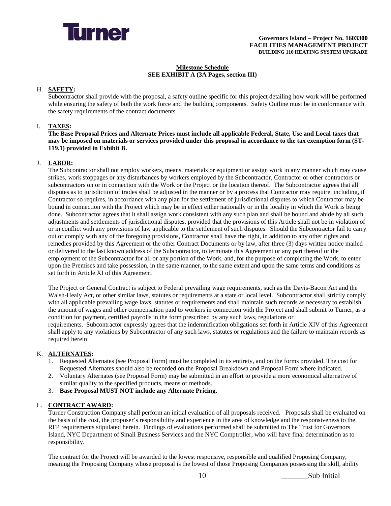

#### **Milestone Schedule SEE EXHIBIT A (3A Pages, section III)**

#### H. **SAFETY:**

Subcontractor shall provide with the proposal, a safety outline specific for this project detailing how work will be performed while ensuring the safety of both the work force and the building components. Safety Outline must be in conformance with the safety requirements of the contract documents.

#### I. **TAXES:**

**The Base Proposal Prices and Alternate Prices must include all applicable Federal, State, Use and Local taxes that may be imposed on materials or services provided under this proposal in accordance to the tax exemption form (ST-119.1) provided in Exhibit B.**

#### J. **LABOR:**

The Subcontractor shall not employ workers, means, materials or equipment or assign work in any manner which may cause strikes, work stoppages or any disturbances by workers employed by the Subcontractor, Contractor or other contractors or subcontractors on or in connection with the Work or the Project or the location thereof. The Subcontractor agrees that all disputes as to jurisdiction of trades shall be adjusted in the manner or by a process that Contractor may require, including, if Contractor so requires, in accordance with any plan for the settlement of jurisdictional disputes to which Contractor may be bound in connection with the Project which may be in effect either nationally or in the locality in which the Work is being done. Subcontractor agrees that it shall assign work consistent with any such plan and shall be bound and abide by all such adjustments and settlements of jurisdictional disputes, provided that the provisions of this Article shall not be in violation of or in conflict with any provisions of law applicable to the settlement of such disputes. Should the Subcontractor fail to carry out or comply with any of the foregoing provisions, Contractor shall have the right, in addition to any other rights and remedies provided by this Agreement or the other Contract Documents or by law, after three (3) days written notice mailed or delivered to the last known address of the Subcontractor, to terminate this Agreement or any part thereof or the employment of the Subcontractor for all or any portion of the Work, and, for the purpose of completing the Work, to enter upon the Premises and take possession, in the same manner, to the same extent and upon the same terms and conditions as set forth in Article XI of this Agreement.

The Project or General Contract is subject to Federal prevailing wage requirements, such as the Davis-Bacon Act and the Walsh-Healy Act, or other similar laws, statutes or requirements at a state or local level. Subcontractor shall strictly comply with all applicable prevailing wage laws, statutes or requirements and shall maintain such records as necessary to establish the amount of wages and other compensation paid to workers in connection with the Project and shall submit to Turner, as a condition for payment, certified payrolls in the form prescribed by any such laws, regulations or requirements. Subcontractor expressly agrees that the indemnification obligations set forth in Article XIV of this Agreement

shall apply to any violations by Subcontractor of any such laws, statutes or regulations and the failure to maintain records as required herein

#### K. **ALTERNATES:**

- 1. Requested Alternates (see Proposal Form) must be completed in its entirety, and on the forms provided. The cost for Requested Alternates should also be recorded on the Proposal Breakdown and Proposal Form where indicated.
- 2. Voluntary Alternates (see Proposal Form) may be submitted in an effort to provide a more economical alternative of similar quality to the specified products, means or methods.
- 3. **Base Proposal MUST NOT include any Alternate Pricing.**

#### L. **CONTRACT AWARD:**

Turner Construction Company shall perform an initial evaluation of all proposals received. Proposals shall be evaluated on the basis of the cost, the proposer's responsibility and experience in the area of knowledge and the responsiveness to the RFP requirements stipulated herein. Findings of evaluations performed shall be submitted to The Trust for Governors Island, NYC Department of Small Business Services and the NYC Comptroller, who will have final determination as to responsibility.

The contract for the Project will be awarded to the lowest responsive, responsible and qualified Proposing Company, meaning the Proposing Company whose proposal is the lowest of those Proposing Companies possessing the skill, ability

10 Sub Initial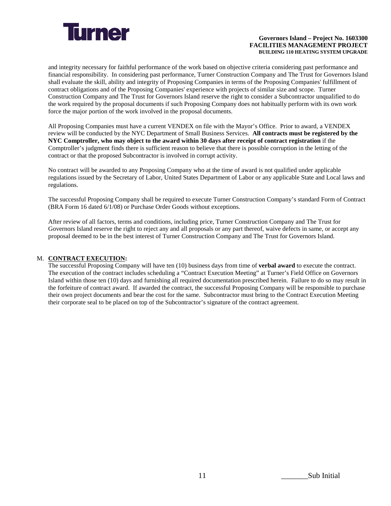

and integrity necessary for faithful performance of the work based on objective criteria considering past performance and financial responsibility. In considering past performance, Turner Construction Company and The Trust for Governors Island shall evaluate the skill, ability and integrity of Proposing Companies in terms of the Proposing Companies' fulfillment of contract obligations and of the Proposing Companies' experience with projects of similar size and scope. Turner Construction Company and The Trust for Governors Island reserve the right to consider a Subcontractor unqualified to do the work required by the proposal documents if such Proposing Company does not habitually perform with its own work force the major portion of the work involved in the proposal documents.

All Proposing Companies must have a current VENDEX on file with the Mayor's Office. Prior to award, a VENDEX review will be conducted by the NYC Department of Small Business Services. **All contracts must be registered by the NYC Comptroller, who may object to the award within 30 days after receipt of contract registration** if the Comptroller's judgment finds there is sufficient reason to believe that there is possible corruption in the letting of the contract or that the proposed Subcontractor is involved in corrupt activity.

No contract will be awarded to any Proposing Company who at the time of award is not qualified under applicable regulations issued by the Secretary of Labor, United States Department of Labor or any applicable State and Local laws and regulations.

The successful Proposing Company shall be required to execute Turner Construction Company's standard Form of Contract (BRA Form 16 dated 6/1/08) or Purchase Order Goods without exceptions.

After review of all factors, terms and conditions, including price, Turner Construction Company and The Trust for Governors Island reserve the right to reject any and all proposals or any part thereof, waive defects in same, or accept any proposal deemed to be in the best interest of Turner Construction Company and The Trust for Governors Island.

#### M. **CONTRACT EXECUTION:**

The successful Proposing Company will have ten (10) business days from time of **verbal award** to execute the contract. The execution of the contract includes scheduling a "Contract Execution Meeting" at Turner's Field Office on Governors Island within those ten (10) days and furnishing all required documentation prescribed herein. Failure to do so may result in the forfeiture of contract award. If awarded the contract, the successful Proposing Company will be responsible to purchase their own project documents and bear the cost for the same. Subcontractor must bring to the Contract Execution Meeting their corporate seal to be placed on top of the Subcontractor's signature of the contract agreement.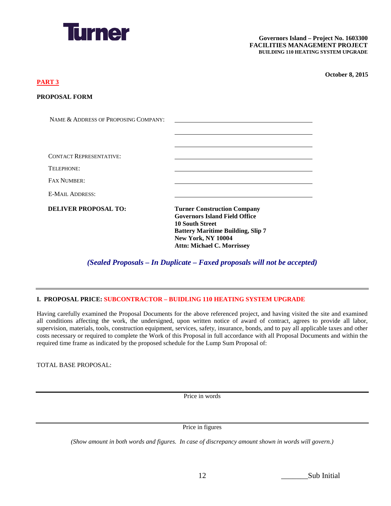

NAME & ADDRESS OF PROPOSING COMPANY:

#### **PART 3**

| <b>PROPOSAL FORM</b> |  |
|----------------------|--|
|                      |  |

| <b>CONTACT REPRESENTATIVE:</b> |                                                                                                                                                                                                                    |
|--------------------------------|--------------------------------------------------------------------------------------------------------------------------------------------------------------------------------------------------------------------|
| TELEPHONE:                     |                                                                                                                                                                                                                    |
| <b>FAX NUMBER:</b>             |                                                                                                                                                                                                                    |
| <b>E-MAIL ADDRESS:</b>         |                                                                                                                                                                                                                    |
| <b>DELIVER PROPOSAL TO:</b>    | <b>Turner Construction Company</b><br><b>Governors Island Field Office</b><br><b>10 South Street</b><br><b>Battery Maritime Building, Slip 7</b><br><b>New York, NY 10004</b><br><b>Attn: Michael C. Morrissey</b> |

*(Sealed Proposals – In Duplicate – Faxed proposals will not be accepted)*

#### **I. PROPOSAL PRICE: SUBCONTRACTOR – BUIDLING 110 HEATING SYSTEM UPGRADE**

Having carefully examined the Proposal Documents for the above referenced project, and having visited the site and examined all conditions affecting the work, the undersigned, upon written notice of award of contract, agrees to provide all labor, supervision, materials, tools, construction equipment, services, safety, insurance, bonds, and to pay all applicable taxes and other costs necessary or required to complete the Work of this Proposal in full accordance with all Proposal Documents and within the required time frame as indicated by the proposed schedule for the Lump Sum Proposal of:

TOTAL BASE PROPOSAL:

Price in words

Price in figures

*(Show amount in both words and figures. In case of discrepancy amount shown in words will govern.)*

| 12 | Sub Initial |
|----|-------------|
|    |             |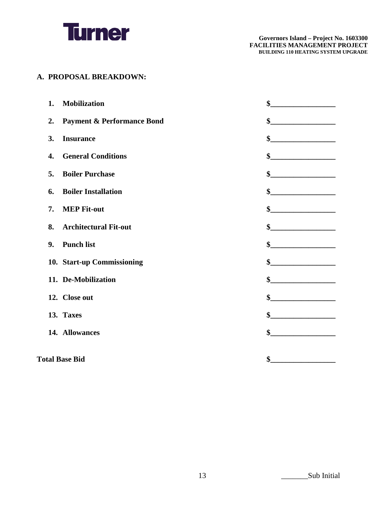

#### **A. PROPOSAL BREAKDOWN:**

| <b>Mobilization</b><br>1.                     | \$                                            |
|-----------------------------------------------|-----------------------------------------------|
| <b>Payment &amp; Performance Bond</b><br>2.   | \$<br><u> 1980 - Johann Barbara, martin a</u> |
| <b>Insurance</b><br>3.                        | \$                                            |
| <b>General Conditions</b><br>$\overline{4}$ . |                                               |
| <b>Boiler Purchase</b><br>5.                  | \$                                            |
| <b>Boiler Installation</b><br>6.              |                                               |
| <b>MEP Fit-out</b><br>7.                      | \$                                            |
| <b>Architectural Fit-out</b><br>8.            | $\frac{1}{2}$                                 |
| <b>Punch list</b><br>9.                       | \$                                            |
| 10. Start-up Commissioning                    | \$                                            |
| 11. De-Mobilization                           | \$                                            |
| 12. Close out                                 | \$<br><u> 1980 - Jan Barbarat, manala</u>     |
| 13. Taxes                                     | \$                                            |
| 14. Allowances                                | \$                                            |
|                                               |                                               |
| <b>Total Base Bid</b>                         | \$                                            |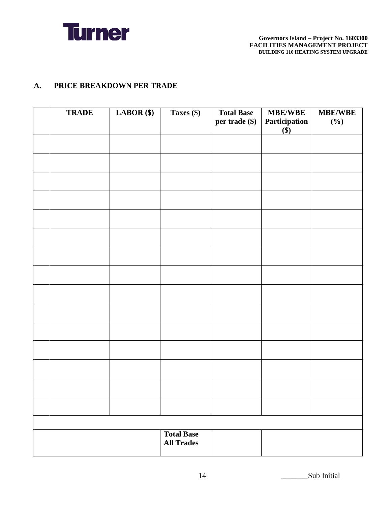

#### **A. PRICE BREAKDOWN PER TRADE**

| <b>TRADE</b> | $LABOR$ (\$) | Taxes (\$)                             | <b>Total Base</b><br>per trade (\$) | <b>MBE/WBE</b><br>Participation<br>\$) | <b>MBE/WBE</b><br>$(\%)$ |
|--------------|--------------|----------------------------------------|-------------------------------------|----------------------------------------|--------------------------|
|              |              |                                        |                                     |                                        |                          |
|              |              |                                        |                                     |                                        |                          |
|              |              |                                        |                                     |                                        |                          |
|              |              |                                        |                                     |                                        |                          |
|              |              |                                        |                                     |                                        |                          |
|              |              |                                        |                                     |                                        |                          |
|              |              |                                        |                                     |                                        |                          |
|              |              |                                        |                                     |                                        |                          |
|              |              |                                        |                                     |                                        |                          |
|              |              |                                        |                                     |                                        |                          |
|              |              |                                        |                                     |                                        |                          |
|              |              |                                        |                                     |                                        |                          |
|              |              |                                        |                                     |                                        |                          |
|              |              |                                        |                                     |                                        |                          |
|              |              |                                        |                                     |                                        |                          |
|              |              |                                        |                                     |                                        |                          |
|              |              | <b>Total Base</b><br><b>All Trades</b> |                                     |                                        |                          |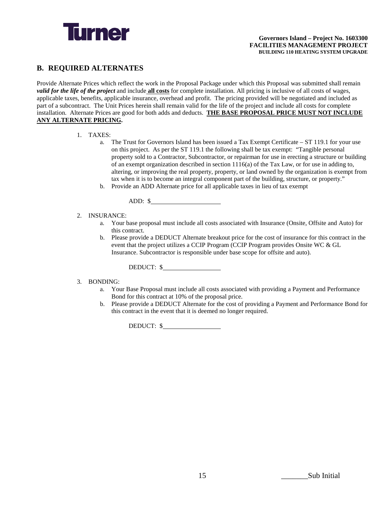

#### **B. REQUIRED ALTERNATES**

Provide Alternate Prices which reflect the work in the Proposal Package under which this Proposal was submitted shall remain *valid for the life of the project* and include **all costs** for complete installation. All pricing is inclusive of all costs of wages, applicable taxes, benefits, applicable insurance, overhead and profit. The pricing provided will be negotiated and included as part of a subcontract. The Unit Prices herein shall remain valid for the life of the project and include all costs for complete installation. Alternate Prices are good for both adds and deducts. **THE BASE PROPOSAL PRICE MUST NOT INCLUDE ANY ALTERNATE PRICING.**

#### 1. TAXES:

- a. The Trust for Governors Island has been issued a Tax Exempt Certificate ST 119.1 for your use on this project. As per the ST 119.1 the following shall be tax exempt: "Tangible personal property sold to a Contractor, Subcontractor, or repairman for use in erecting a structure or building of an exempt organization described in section 1116(a) of the Tax Law, or for use in adding to, altering, or improving the real property, property, or land owned by the organization is exempt from tax when it is to become an integral component part of the building, structure, or property."
- b. Provide an ADD Alternate price for all applicable taxes in lieu of tax exempt

ADD: \$

#### 2. INSURANCE:

- a. Your base proposal must include all costs associated with Insurance (Onsite, Offsite and Auto) for this contract.
- b. Please provide a DEDUCT Alternate breakout price for the cost of insurance for this contract in the event that the project utilizes a CCIP Program (CCIP Program provides Onsite WC & GL Insurance. Subcontractor is responsible under base scope for offsite and auto).

DEDUCT: \$

#### 3. BONDING:

- a. Your Base Proposal must include all costs associated with providing a Payment and Performance Bond for this contract at 10% of the proposal price.
- b. Please provide a DEDUCT Alternate for the cost of providing a Payment and Performance Bond for this contract in the event that it is deemed no longer required.

DEDUCT: \$

15  $\qquad \qquad$  Sub Initial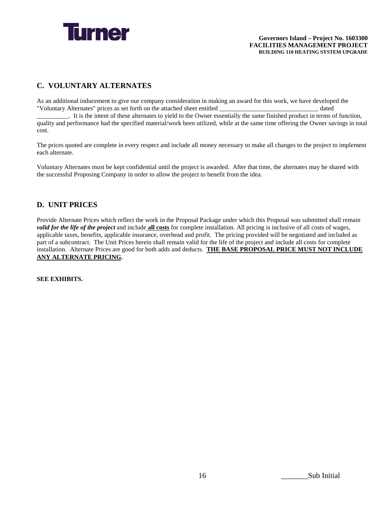

#### **C. VOLUNTARY ALTERNATES**

As an additional inducement to give our company consideration in making an award for this work, we have developed the "Voluntary Alternates" prices as set forth on the attached sheet entitled \_\_\_\_\_\_\_\_\_\_\_\_\_\_\_\_\_\_\_\_\_\_\_\_\_\_\_\_\_\_\_ dated

\_\_\_\_\_\_\_\_\_\_. It is the intent of these alternates to yield to the Owner essentially the same finished product in terms of function, quality and performance had the specified material/work been utilized, while at the same time offering the Owner savings in total cost.

The prices quoted are complete in every respect and include all money necessary to make all changes to the project to implement each alternate.

Voluntary Alternates must be kept confidential until the project is awarded. After that time, the alternates may be shared with the successful Proposing Company in order to allow the project to benefit from the idea.

#### **D. UNIT PRICES**

Provide Alternate Prices which reflect the work in the Proposal Package under which this Proposal was submitted shall remain *valid for the life of the project* and include **all costs** for complete installation. All pricing is inclusive of all costs of wages, applicable taxes, benefits, applicable insurance, overhead and profit. The pricing provided will be negotiated and included as part of a subcontract. The Unit Prices herein shall remain valid for the life of the project and include all costs for complete installation. Alternate Prices are good for both adds and deducts. **THE BASE PROPOSAL PRICE MUST NOT INCLUDE ANY ALTERNATE PRICING.**

**SEE EXHIBITS.**

16 **Sub Initial**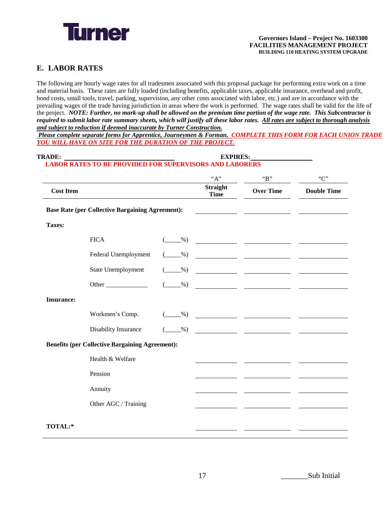

#### **E. LABOR RATES**

The following are hourly wage rates for all tradesmen associated with this proposal package for performing extra work on a time and material basis. These rates are fully loaded (including benefits, applicable taxes, applicable insurance, overhead and profit, bond costs, small tools, travel, parking, supervision, any other costs associated with labor, etc.) and are in accordance with the prevailing wages of the trade having jurisdiction in areas where the work is performed. The wage rates shall be valid for the life of the project. *NOTE: Further, no mark-up shall be allowed on the premium time portion of the wage rate. This Subcontractor is required to submit labor rate summary sheets, which will justify all these labor rates. All rates are subject to thorough analysis and subject to reduction if deemed inaccurate by Turner Construction.* 

*Please complete separate forms for Apprentice, Journeymen & Forman. COMPLETE THIS FORM FOR EACH UNION TRADE YOU WILL HAVE ON SITE FOR THE DURATION OF THE PROJECT.*

#### **TRADE: EXPIRES: LABOR RATES TO BE PROVIDED FOR SUPERVISORS AND LABORERS**

|                   |                                                                                                                                                                                                                                     |               | "A"                            | B                                                                                                                     | C                                 |
|-------------------|-------------------------------------------------------------------------------------------------------------------------------------------------------------------------------------------------------------------------------------|---------------|--------------------------------|-----------------------------------------------------------------------------------------------------------------------|-----------------------------------|
| <b>Cost Item</b>  |                                                                                                                                                                                                                                     |               | <b>Straight</b><br><b>Time</b> | <b>Over Time</b>                                                                                                      | <b>Double Time</b>                |
|                   | <b>Base Rate (per Collective Bargaining Agreement):</b>                                                                                                                                                                             |               |                                |                                                                                                                       |                                   |
| Taxes:            |                                                                                                                                                                                                                                     |               |                                |                                                                                                                       |                                   |
|                   | <b>FICA</b>                                                                                                                                                                                                                         | $\frac{9}{6}$ |                                | <u> 1990 - John Barbara (</u>                                                                                         |                                   |
|                   | Federal Unemployment                                                                                                                                                                                                                | $-$ %)        |                                |                                                                                                                       |                                   |
|                   | State Unemployment                                                                                                                                                                                                                  | $-$ %)        |                                | <u> 1980 - John Stein, marian al-Amerikaansk politiker (</u>                                                          |                                   |
|                   | <b>Other</b> contracts the contract of the contract of the contract of the contract of the contract of the contract of the contract of the contract of the contract of the contract of the contract of the contract of the contract | $\frac{9}{2}$ |                                |                                                                                                                       | <b>Contract Contract Contract</b> |
| <b>Insurance:</b> |                                                                                                                                                                                                                                     |               |                                |                                                                                                                       |                                   |
|                   | Workmen's Comp.                                                                                                                                                                                                                     | $\frac{9}{6}$ |                                | <u> 1980 - John Stein, mars and de Brandenburg (b. 1980)</u>                                                          |                                   |
|                   | Disability Insurance                                                                                                                                                                                                                | $\frac{9}{6}$ |                                | <u> 1990 - John Harry Harry Harry Harry Harry Harry Harry Harry Harry Harry Harry Harry Harry Harry Harry Harry H</u> |                                   |
|                   | <b>Benefits (per Collective Bargaining Agreement):</b>                                                                                                                                                                              |               |                                |                                                                                                                       |                                   |
|                   | Health & Welfare                                                                                                                                                                                                                    |               |                                |                                                                                                                       |                                   |
|                   | Pension                                                                                                                                                                                                                             |               |                                |                                                                                                                       |                                   |
|                   | Annuity                                                                                                                                                                                                                             |               |                                |                                                                                                                       |                                   |
|                   | Other AGC / Training                                                                                                                                                                                                                |               |                                |                                                                                                                       |                                   |
| TOTAL:*           |                                                                                                                                                                                                                                     |               |                                |                                                                                                                       |                                   |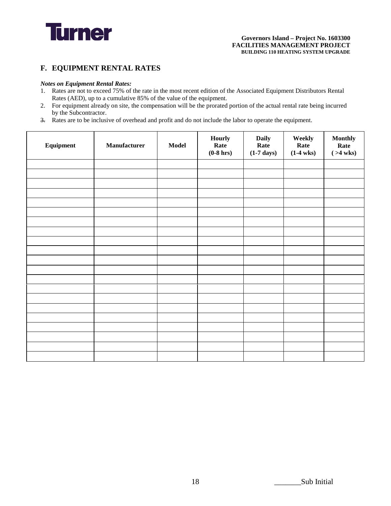

#### **F. EQUIPMENT RENTAL RATES**

#### *Notes on Equipment Rental Rates:*

- 1. Rates are not to exceed 75% of the rate in the most recent edition of the Associated Equipment Distributors Rental Rates (AED), up to a cumulative 85% of the value of the equipment.
- 2. For equipment already on site, the compensation will be the prorated portion of the actual rental rate being incurred by the Subcontractor.
- 3. Rates are to be inclusive of overhead and profit and do not include the labor to operate the equipment.

| Equipment | Manufacturer | Model | <b>Hourly</b><br>Rate<br>$(0-8)$ hrs) | <b>Daily</b><br>Rate<br>$(1-7 \text{ days})$ | Weekly<br>Rate<br>$(1-4$ wks $)$ | <b>Monthly</b><br>Rate<br>$( >4$ wks) |
|-----------|--------------|-------|---------------------------------------|----------------------------------------------|----------------------------------|---------------------------------------|
|           |              |       |                                       |                                              |                                  |                                       |
|           |              |       |                                       |                                              |                                  |                                       |
|           |              |       |                                       |                                              |                                  |                                       |
|           |              |       |                                       |                                              |                                  |                                       |
|           |              |       |                                       |                                              |                                  |                                       |
|           |              |       |                                       |                                              |                                  |                                       |
|           |              |       |                                       |                                              |                                  |                                       |
|           |              |       |                                       |                                              |                                  |                                       |
|           |              |       |                                       |                                              |                                  |                                       |
|           |              |       |                                       |                                              |                                  |                                       |
|           |              |       |                                       |                                              |                                  |                                       |
|           |              |       |                                       |                                              |                                  |                                       |
|           |              |       |                                       |                                              |                                  |                                       |
|           |              |       |                                       |                                              |                                  |                                       |
|           |              |       |                                       |                                              |                                  |                                       |
|           |              |       |                                       |                                              |                                  |                                       |
|           |              |       |                                       |                                              |                                  |                                       |
|           |              |       |                                       |                                              |                                  |                                       |
|           |              |       |                                       |                                              |                                  |                                       |
|           |              |       |                                       |                                              |                                  |                                       |
|           |              |       |                                       |                                              |                                  |                                       |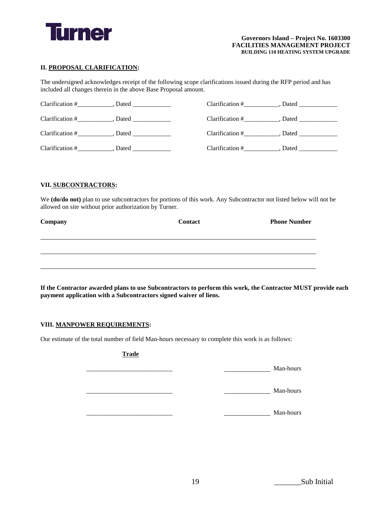

#### **II. PROPOSAL CLARIFICATION:**

The undersigned acknowledges receipt of the following scope clarifications issued during the RFP period and has included all changes therein in the above Base Proposal amount.

| $Clarification$ # | Dated | Clarification # | Dated |
|-------------------|-------|-----------------|-------|
| Clarification #   | Dated | Clarification # | Dated |
| Clarification $#$ | Dated | Clarification # | Dated |
| Clarification #   | Dated | Clarification # | Dated |

#### **VII. SUBCONTRACTORS:**

We **(do/do not)** plan to use subcontractors for portions of this work. Any Subcontractor not listed below will not be allowed on site without prior authorization by Turner.

| Company | <b>Contact</b> | <b>Phone Number</b> |
|---------|----------------|---------------------|
|         |                |                     |
|         |                |                     |
|         |                |                     |
|         |                |                     |

**If the Contractor awarded plans to use Subcontractors to perform this work, the Contractor MUST provide each payment application with a Subcontractors signed waiver of liens.** 

#### **VIII. MANPOWER REQUIREMENTS:**

Our estimate of the total number of field Man-hours necessary to complete this work is as follows:

#### **Trade**

\_\_\_\_\_\_\_\_\_\_\_\_\_\_\_\_\_\_\_\_\_\_\_\_\_\_\_ Man-hours

\_\_\_\_\_\_\_\_\_\_\_\_\_\_\_\_\_\_\_\_\_\_\_\_\_\_\_ Man-hours

 $Man-hours$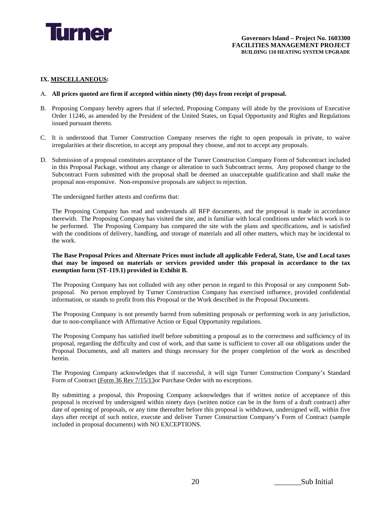

#### **IX. MISCELLANEOUS:**

- A. **All prices quoted are firm if accepted within ninety (90) days from receipt of proposal.**
- B. Proposing Company hereby agrees that if selected, Proposing Company will abide by the provisions of Executive Order 11246, as amended by the President of the United States, on Equal Opportunity and Rights and Regulations issued pursuant thereto.
- C. It is understood that Turner Construction Company reserves the right to open proposals in private, to waive irregularities at their discretion, to accept any proposal they choose, and not to accept any proposals.
- D. Submission of a proposal constitutes acceptance of the Turner Construction Company Form of Subcontract included in this Proposal Package, without any change or alteration to such Subcontract terms. Any proposed change to the Subcontract Form submitted with the proposal shall be deemed an unacceptable qualification and shall make the proposal non-responsive. Non-responsive proposals are subject to rejection.

The undersigned further attests and confirms that:

The Proposing Company has read and understands all RFP documents, and the proposal is made in accordance therewith. The Proposing Company has visited the site, and is familiar with local conditions under which work is to be performed. The Proposing Company has compared the site with the plans and specifications, and is satisfied with the conditions of delivery, handling, and storage of materials and all other matters, which may be incidental to the work.

#### **The Base Proposal Prices and Alternate Prices must include all applicable Federal, State, Use and Local taxes that may be imposed on materials or services provided under this proposal in accordance to the tax exemption form (ST-119.1) provided in Exhibit B.**

The Proposing Company has not colluded with any other person in regard to this Proposal or any component Subproposal. No person employed by Turner Construction Company has exercised influence, provided confidential information, or stands to profit from this Proposal or the Work described in the Proposal Documents.

The Proposing Company is not presently barred from submitting proposals or performing work in any jurisdiction, due to non-compliance with Affirmative Action or Equal Opportunity regulations.

The Proposing Company has satisfied itself before submitting a proposal as to the correctness and sufficiency of its proposal, regarding the difficulty and cost of work, and that same is sufficient to cover all our obligations under the Proposal Documents, and all matters and things necessary for the proper completion of the work as described herein.

The Proposing Company acknowledges that if successful, it will sign Turner Construction Company's Standard Form of Contract (Form 36 Rev 7/15/13or Purchase Order with no exceptions.

By submitting a proposal, this Proposing Company acknowledges that if written notice of acceptance of this proposal is received by undersigned within ninety days (written notice can be in the form of a draft contract) after date of opening of proposals, or any time thereafter before this proposal is withdrawn, undersigned will, within five days after receipt of such notice, execute and deliver Turner Construction Company's Form of Contract (sample included in proposal documents) with NO EXCEPTIONS.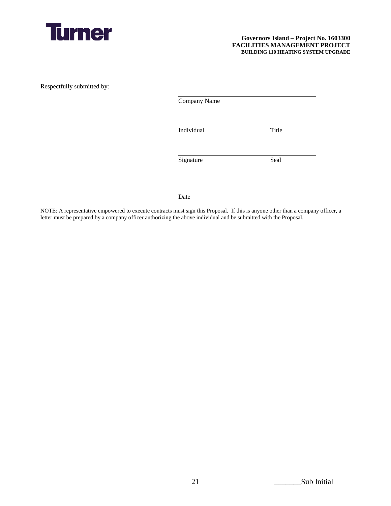

Respectfully submitted by:

| Company Name |       |
|--------------|-------|
| Individual   | Title |
| Signature    | Seal  |
| Date         |       |

NOTE: A representative empowered to execute contracts must sign this Proposal. If this is anyone other than a company officer, a letter must be prepared by a company officer authorizing the above individual and be submitted with the Proposal.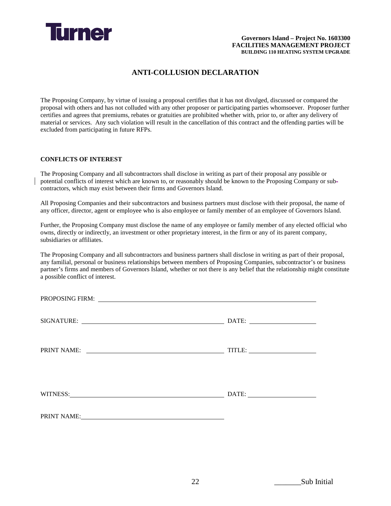

#### **ANTI-COLLUSION DECLARATION**

The Proposing Company, by virtue of issuing a proposal certifies that it has not divulged, discussed or compared the proposal with others and has not colluded with any other proposer or participating parties whomsoever. Proposer further certifies and agrees that premiums, rebates or gratuities are prohibited whether with, prior to, or after any delivery of material or services. Any such violation will result in the cancellation of this contract and the offending parties will be excluded from participating in future RFPs.

#### **CONFLICTS OF INTEREST**

The Proposing Company and all subcontractors shall disclose in writing as part of their proposal any possible or potential conflicts of interest which are known to, or reasonably should be known to the Proposing Company or subcontractors, which may exist between their firms and Governors Island.

All Proposing Companies and their subcontractors and business partners must disclose with their proposal, the name of any officer, director, agent or employee who is also employee or family member of an employee of Governors Island.

Further, the Proposing Company must disclose the name of any employee or family member of any elected official who owns, directly or indirectly, an investment or other proprietary interest, in the firm or any of its parent company, subsidiaries or affiliates.

The Proposing Company and all subcontractors and business partners shall disclose in writing as part of their proposal, any familial, personal or business relationships between members of Proposing Companies, subcontractor's or business partner's firms and members of Governors Island, whether or not there is any belief that the relationship might constitute a possible conflict of interest.

| PRINT NAME: VALUE AND THE PRINT NAME OF THE CONTRACT OF THE CONTRACT OF THE CONTRACT OF THE CONTRACT OF THE CONTRACT OF THE CONTRACT OF THE CONTRACT OF THE CONTRACT OF THE CONTRACT OF THE CONTRACT OF THE CONTRACT OF THE CO |  |
|--------------------------------------------------------------------------------------------------------------------------------------------------------------------------------------------------------------------------------|--|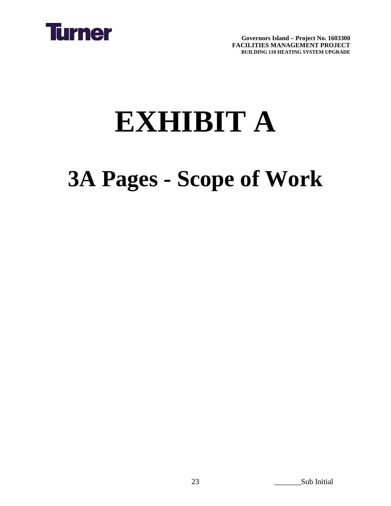

# **EXHIBIT A**

### **3A Pages - Scope of Work**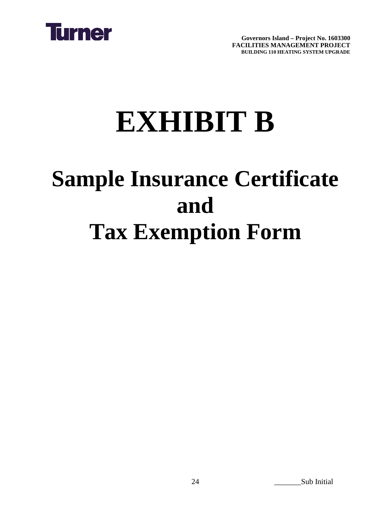

# **EXHIBIT B**

### **Sample Insurance Certificate and Tax Exemption Form**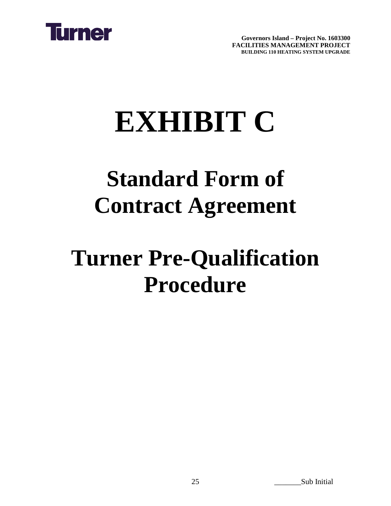

# **EXHIBIT C**

### **Standard Form of Contract Agreement**

### **Turner Pre-Qualification Procedure**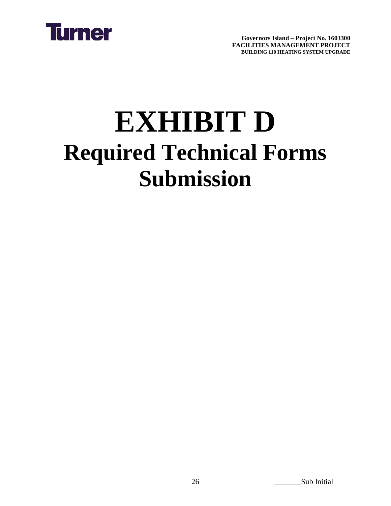

## **EXHIBIT D Required Technical Forms Submission**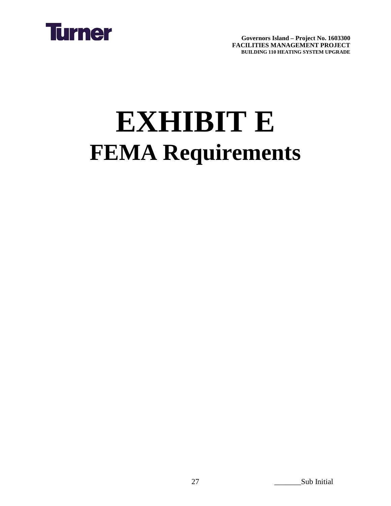

# **EXHIBIT E FEMA Requirements**

27 Sub Initial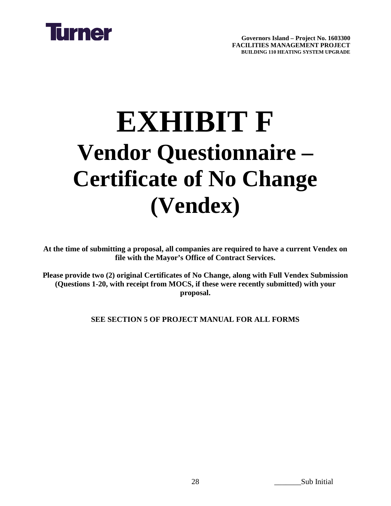

## **EXHIBIT F Vendor Questionnaire – Certificate of No Change (Vendex)**

**At the time of submitting a proposal, all companies are required to have a current Vendex on file with the Mayor's Office of Contract Services.** 

**Please provide two (2) original Certificates of No Change, along with Full Vendex Submission (Questions 1-20, with receipt from MOCS, if these were recently submitted) with your proposal.**

**SEE SECTION 5 OF PROJECT MANUAL FOR ALL FORMS**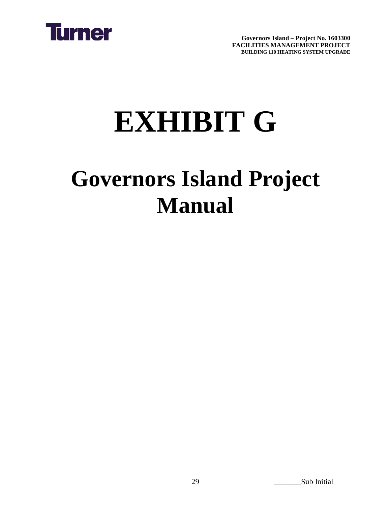

# **EXHIBIT G**

### **Governors Island Project Manual**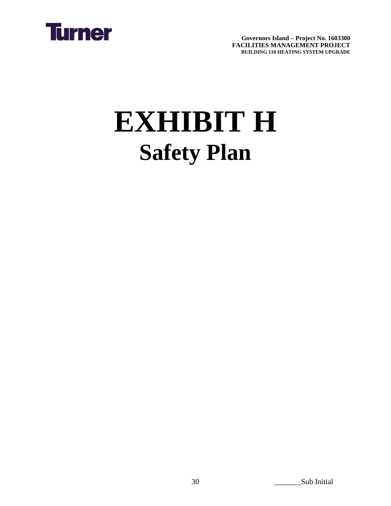

# **EXHIBIT H Safety Plan**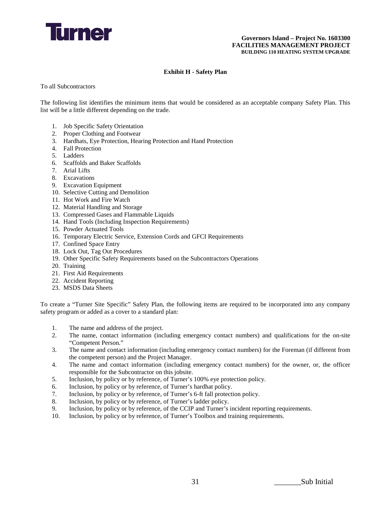

#### **Exhibit H - Safety Plan**

To all Subcontractors

The following list identifies the minimum items that would be considered as an acceptable company Safety Plan. This list will be a little different depending on the trade.

- 1. Job Specific Safety Orientation
- 2. Proper Clothing and Footwear
- 3. Hardhats, Eye Protection, Hearing Protection and Hand Protection
- 4. Fall Protection
- 5. Ladders
- 6. Scaffolds and Baker Scaffolds
- 7. Arial Lifts
- 8. Excavations
- 9. Excavation Equipment
- 10. Selective Cutting and Demolition
- 11. Hot Work and Fire Watch
- 12. Material Handling and Storage
- 13. Compressed Gases and Flammable Liquids
- 14. Hand Tools (Including Inspection Requirements)
- 15. Powder Actuated Tools
- 16. Temporary Electric Service, Extension Cords and GFCI Requirements
- 17. Confined Space Entry
- 18. Lock Out, Tag Out Procedures
- 19. Other Specific Safety Requirements based on the Subcontractors Operations
- 20. Training
- 21. First Aid Requirements
- 22. Accident Reporting
- 23. MSDS Data Sheets

To create a "Turner Site Specific" Safety Plan, the following items are required to be incorporated into any company safety program or added as a cover to a standard plan:

- 1. The name and address of the project.
- 2. The name, contact information (including emergency contact numbers) and qualifications for the on-site "Competent Person."
- 3. The name and contact information (including emergency contact numbers) for the Foreman (if different from the competent person) and the Project Manager.
- 4. The name and contact information (including emergency contact numbers) for the owner, or, the officer responsible for the Subcontractor on this jobsite.
- 5. Inclusion, by policy or by reference, of Turner's 100% eye protection policy.
- 6. Inclusion, by policy or by reference, of Turner's hardhat policy.
- 7. Inclusion, by policy or by reference, of Turner's 6-ft fall protection policy.
- 8. Inclusion, by policy or by reference, of Turner's ladder policy.<br>9. Inclusion, by policy or by reference, of the CCIP and Turner's
- Inclusion, by policy or by reference, of the CCIP and Turner's incident reporting requirements.
- 10. Inclusion, by policy or by reference, of Turner's Toolbox and training requirements.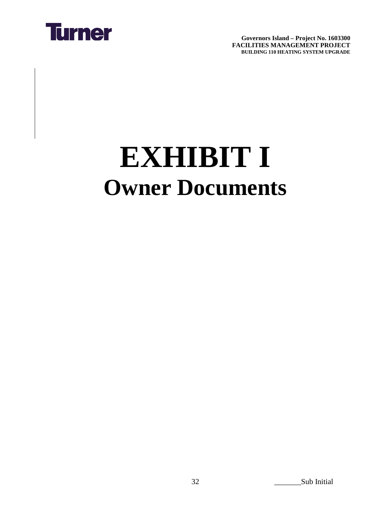

# **EXHIBIT I Owner Documents**